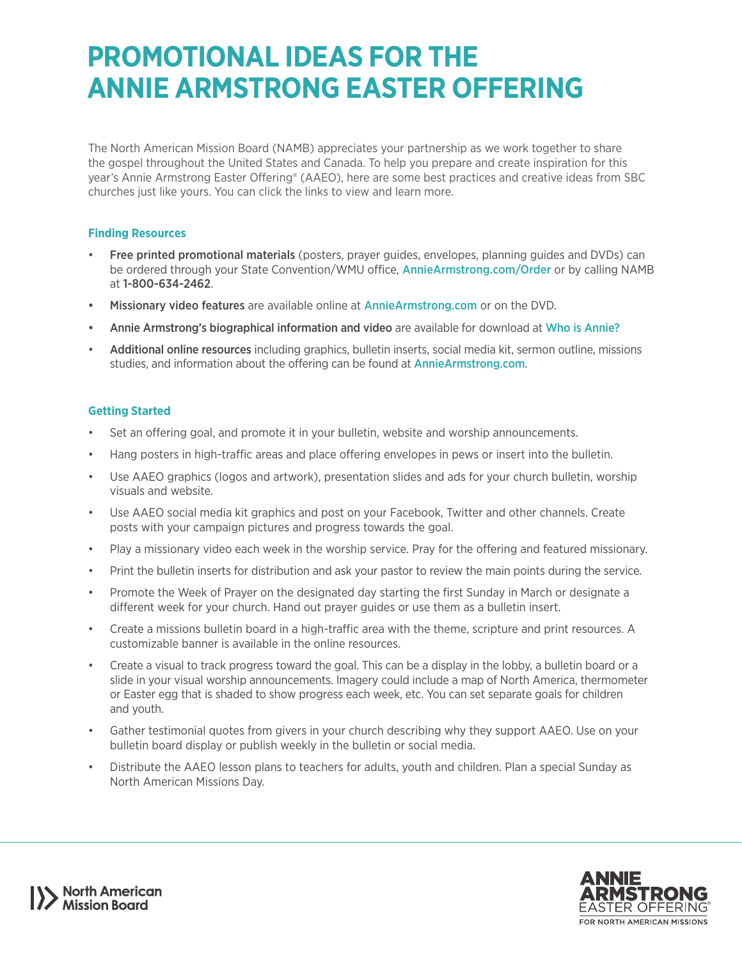# **PROMOTIONAL IDEAS FOR THE ANNIE ARMSTRONG EASTER OFFERING**

The North American Mission Board (NAMB) appreciates your partnership as we work together to share the gospel throughout the United States and Canada. To help you prepare and create inspiration for this year's Annie Armstrong Easter Offering® (AAEO), here are some best practices and creative ideas from SBC churches just like yours. You can click the links to view and learn more.

## **Finding Resources**

- Free printed promotional materials (posters, prayer guides, envelopes, planning guides and DVDs) can be ordered through your State Convention/WMU office, **[AnnieArmstrong.com/Order](http://www.AnnieArmstrong.com/Order)** or by calling NAMB at 1-800-634-2462.
- Missionary video features are available online at [AnnieArmstrong.com](http://www.AnnieArmstrong.com) or on the DVD.
- Annie Armstrong's biographical information and video are available for download at [Who is Annie?](https://www.anniearmstrong.com/who-is-annie/)
- Additional online resources including graphics, bulletin inserts, social media kit, sermon outline, missions studies, and information about the offering can be found at **[AnnieArmstrong.com](http://www.AnnieArmstrong.com).**

## **Getting Started**

- Set an offering goal, and promote it in your bulletin, website and worship announcements.
- Hang posters in high-traffic areas and place offering envelopes in pews or insert into the bulletin.
- Use AAEO graphics (logos and artwork), presentation slides and ads for your church bulletin, worship visuals and website.
- Use AAEO social media kit graphics and post on your Facebook, Twitter and other channels. Create posts with your campaign pictures and progress towards the goal.
- Play a missionary video each week in the worship service. Pray for the offering and featured missionary.
- Print the bulletin inserts for distribution and ask your pastor to review the main points during the service.
- Promote the Week of Prayer on the designated day starting the first Sunday in March or designate a different week for your church. Hand out prayer guides or use them as a bulletin insert.
- Create a missions bulletin board in a high-traffic area with the theme, scripture and print resources. A customizable banner is available in the online resources.
- Create a visual to track progress toward the goal. This can be a display in the lobby, a bulletin board or a slide in your visual worship announcements. Imagery could include a map of North America, thermometer or Easter egg that is shaded to show progress each week, etc. You can set separate goals for children and youth.
- Gather testimonial quotes from givers in your church describing why they support AAEO. Use on your bulletin board display or publish weekly in the bulletin or social media.
- Distribute the AAEO lesson plans to teachers for adults, youth and children. Plan a special Sunday as North American Missions Day.



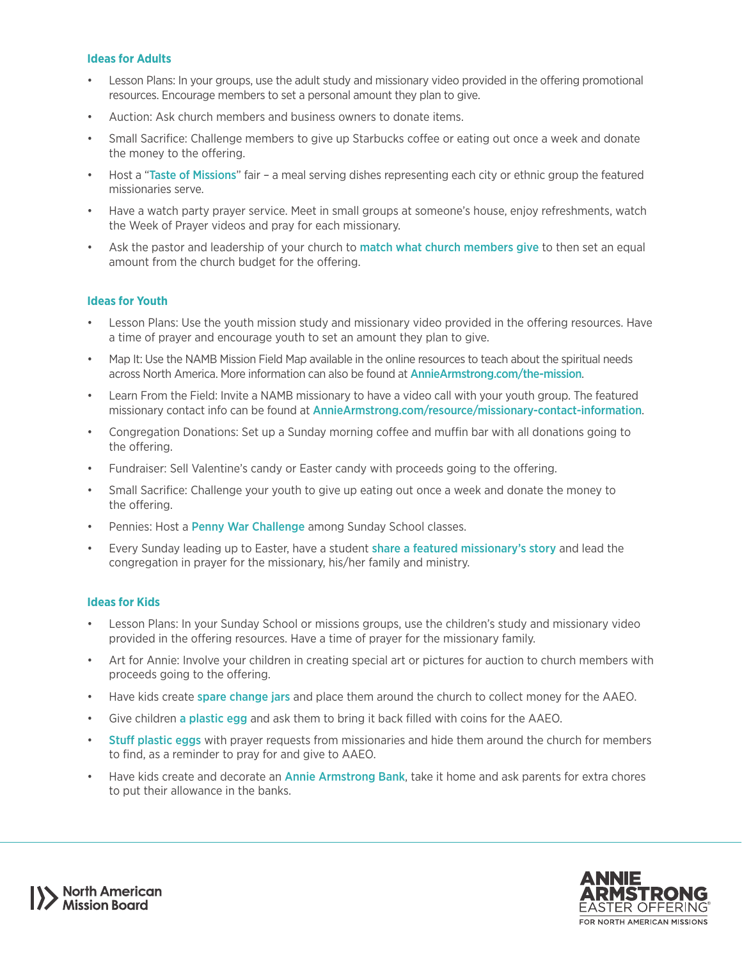#### **Ideas for Adults**

- Lesson Plans: In your groups, use the adult study and missionary video provided in the offering promotional resources. Encourage members to set a personal amount they plan to give.
- Auction: Ask church members and business owners to donate items.
- Small Sacrifice: Challenge members to give up Starbucks coffee or eating out once a week and donate the money to the offering.
- Host a "[Taste of Missions](https://www.facebook.com/aaeo.sbc/posts/10159105181502141)" fair a meal serving dishes representing each city or ethnic group the featured missionaries serve.
- Have a watch party prayer service. Meet in small groups at someone's house, enjoy refreshments, watch the Week of Prayer videos and pray for each missionary.
- Ask the pastor and leadership of your church to [match what church members give](http://facebook.com/aaeo.sbc/posts/10159146138447141) to then set an equal amount from the church budget for the offering.

## **Ideas for Youth**

- Lesson Plans: Use the youth mission study and missionary video provided in the offering resources. Have a time of prayer and encourage youth to set an amount they plan to give.
- Map It: Use the NAMB Mission Field Map available in the online resources to teach about the spiritual needs across North America. More information can also be found at [AnnieArmstrong.com/the-mission](https://www.anniearmstrong.com/the-mission/).
- Learn From the Field: Invite a NAMB missionary to have a video call with your youth group. The featured missionary contact info can be found at [AnnieArmstrong.com/resource/missionary-contact-information](http://www.AnnieArmstrong.com/resource/missionary-contact-information).
- Congregation Donations: Set up a Sunday morning coffee and muffin bar with all donations going to the offering.
- Fundraiser: Sell Valentine's candy or Easter candy with proceeds going to the offering.
- Small Sacrifice: Challenge your youth to give up eating out once a week and donate the money to the offering.
- Pennies: Host a [Penny War Challenge](https://h2oforlife.wpengine.com/wp-content/uploads/2017/01/How-to-Hold-a-Penny-War-Fundraiser.pdf) among Sunday School classes.
- Every Sunday leading up to Easter, have a student [share a featured missionary's story](https://www.facebook.com/aaeo.sbc/photos/a.259641532140/10159065875777141/?type=3) and lead the congregation in prayer for the missionary, his/her family and ministry.

#### **Ideas for Kids**

- Lesson Plans: In your Sunday School or missions groups, use the children's study and missionary video provided in the offering resources. Have a time of prayer for the missionary family.
- Art for Annie: Involve your children in creating special art or pictures for auction to church members with proceeds going to the offering.
- Have kids create [spare change jars](https://www.facebook.com/aaeo.sbc/posts/10158980339817141) and place them around the church to collect money for the AAEO.
- Give children a **plastic egg** and ask them to bring it back filled with coins for the AAEO.
- [Stuff plastic eggs](https://www.facebook.com/aaeo.sbc/posts/10158988246447141) with prayer requests from missionaries and hide them around the church for members to find, as a reminder to pray for and give to AAEO.
- Have kids create and decorate an **[Annie Armstrong Bank](https://www.facebook.com/aaeo.sbc/photos/a.259641532140/10158963482782141/?type=3)**, take it home and ask parents for extra chores to put their allowance in the banks.